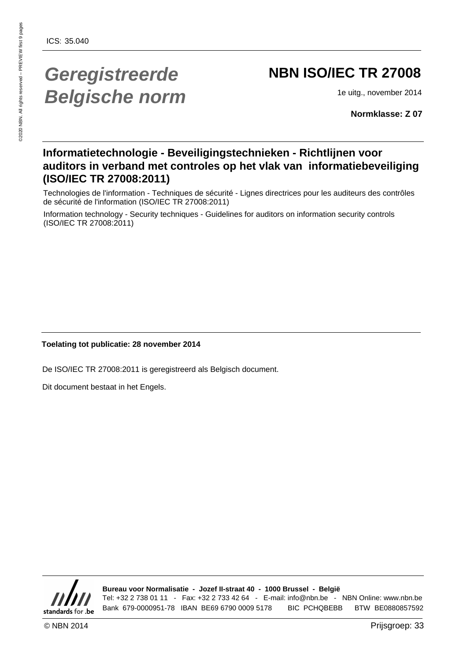## **Geregistreerde Belgische norm**

## **NBN ISO/IEC TR 27008**

1e uitg., november 2014

**Normklasse: Z 07**

### **Informatietechnologie - Beveiligingstechnieken - Richtlijnen voor auditors in verband met controles op het vlak van informatiebeveiliging (ISO/IEC TR 27008:2011)**

Technologies de l'information - Techniques de sécurité - Lignes directrices pour les auditeurs des contrôles de sécurité de l'information (ISO/IEC TR 27008:2011)

Information technology - Security techniques - Guidelines for auditors on information security controls (ISO/IEC TR 27008:2011)

### **Toelating tot publicatie: 28 november 2014**

De ISO/IEC TR 27008:2011 is geregistreerd als Belgisch document.

Dit document bestaat in het Engels.



**Bureau voor Normalisatie - Jozef II-straat 40 - 1000 Brussel - België** Tel: +32 2 738 01 11 - Fax: +32 2 733 42 64 - E-mail: info@nbn.be - NBN Online: www.nbn.be Bank 679-0000951-78 IBAN BE69 6790 0009 5178 BIC PCHQBEBB BTW BE0880857592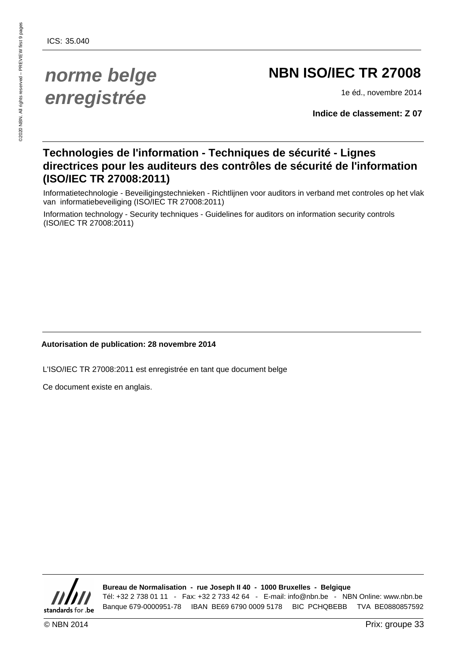## **norme belge enregistrée**

## **NBN ISO/IEC TR 27008**

1e éd., novembre 2014

**Indice de classement: Z 07**

### **Technologies de l'information - Techniques de sécurité - Lignes directrices pour les auditeurs des contrôles de sécurité de l'information (ISO/IEC TR 27008:2011)**

Informatietechnologie - Beveiligingstechnieken - Richtlijnen voor auditors in verband met controles op het vlak van informatiebeveiliging (ISO/IEC TR 27008:2011)

Information technology - Security techniques - Guidelines for auditors on information security controls (ISO/IEC TR 27008:2011)

### **Autorisation de publication: 28 novembre 2014**

L'ISO/IEC TR 27008:2011 est enregistrée en tant que document belge

Ce document existe en anglais.



**Bureau de Normalisation - rue Joseph II 40 - 1000 Bruxelles - Belgique** Tél: +32 2 738 01 11 - Fax: +32 2 733 42 64 - E-mail: info@nbn.be - NBN Online: www.nbn.be

Banque 679-0000951-78 IBAN BE69 6790 0009 5178 BIC PCHQBEBB TVA BE0880857592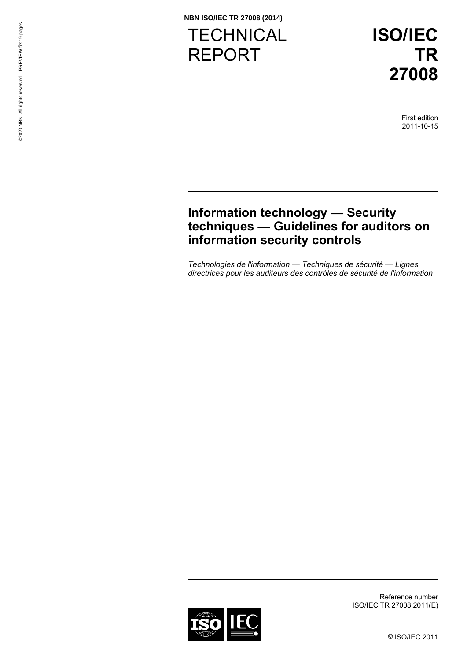**TECHNICAL** REPORT

**ISO/IEC TR 27008**

> First edition 2011-10-15

### **Information technology — Security techniques — Guidelines for auditors on information security controls**

*Technologies de l'information — Techniques de sécurité — Lignes directrices pour les auditeurs des contrôles de sécurité de l'information* 



Reference number ISO/IEC TR 27008:2011(E)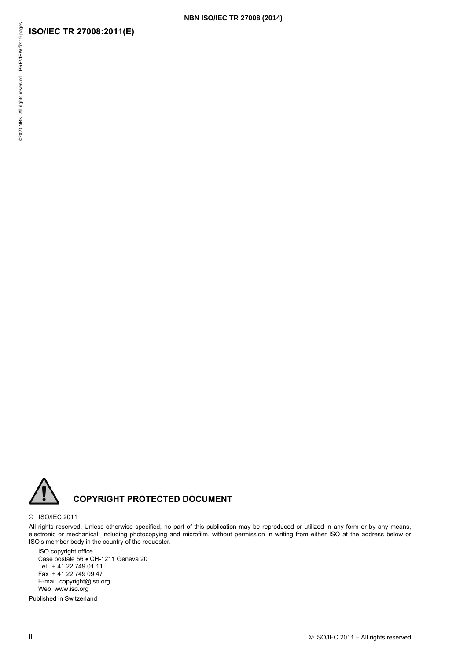### **NBN ISO/IEC TR 27008 (2014)**

### **ISO/IEC TR 27008:2011(E)**



### © ISO/IEC 2011

All rights reserved. Unless otherwise specified, no part of this publication may be reproduced or utilized in any form or by any means, electronic or mechanical, including photocopying and microfilm, without permission in writing from either ISO at the address below or ISO's member body in the country of the requester.

ISO copyright office Case postale 56 · CH-1211 Geneva 20 Tel. + 41 22 749 01 11 Fax + 41 22 749 09 47 E-mail copyright@iso.org Web www.iso.org

Published in Switzerland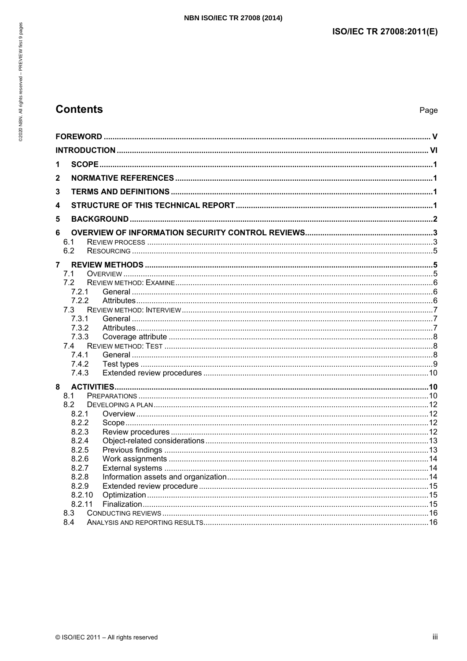### **Contents**

| 1      |  |
|--------|--|
|        |  |
| 2      |  |
| 3      |  |
| 4      |  |
| 5      |  |
| 6      |  |
| 6.1    |  |
| 6.2    |  |
| 7      |  |
| 7.1    |  |
| 7.2    |  |
| 7.2.1  |  |
| 7.2.2  |  |
| 7.3    |  |
| 7.3.1  |  |
| 7.3.2  |  |
| 7.3.3  |  |
| 7.4    |  |
| 7.4.1  |  |
| 7.4.2  |  |
| 7.4.3  |  |
| 8      |  |
| 8.1    |  |
| 8.2    |  |
| 8.2.1  |  |
| 8.2.2  |  |
| 8.2.3  |  |
| 8.2.4  |  |
| 8.2.5  |  |
| 8.2.6  |  |
| 8.2.7  |  |
| 8.2.8  |  |
| 8.2.9  |  |
| 8.2.10 |  |
| 8.2.11 |  |
| 8.3    |  |
| 8.4    |  |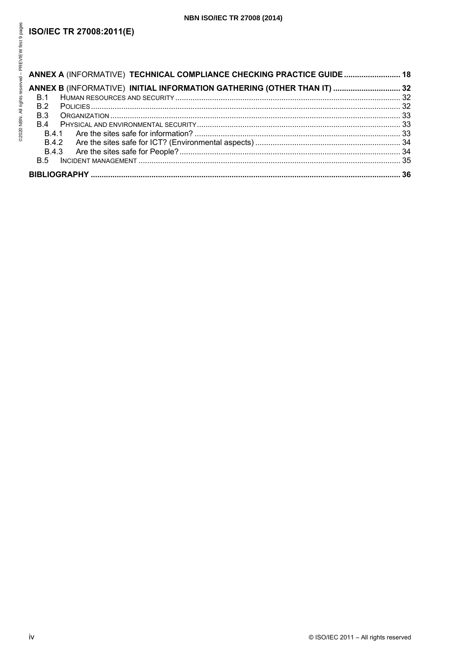### **NBN ISO/IEC TR 27008 (2014)**

### **ISO/IEC TR 27008:2011(E)**

| ANNEX A (INFORMATIVE) TECHNICAL COMPLIANCE CHECKING PRACTICE GUIDE 18   |  |
|-------------------------------------------------------------------------|--|
| ANNEX B (INFORMATIVE) INITIAL INFORMATION GATHERING (OTHER THAN IT)  32 |  |
| <b>B.1</b>                                                              |  |
| <b>B.2</b>                                                              |  |
| <b>B.3</b>                                                              |  |
| <b>B</b> 4                                                              |  |
| <b>B41</b>                                                              |  |
|                                                                         |  |
|                                                                         |  |
|                                                                         |  |
|                                                                         |  |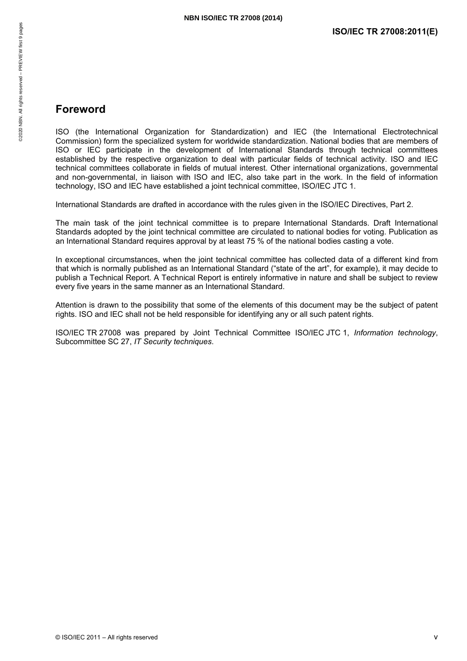# 52020 NBN. All rights reserved - PREVIEW first 9 pages ©2020 NBN. All rights reserved – PREVIEW first 9 pages

### <span id="page-6-0"></span>**Foreword**

ISO (the International Organization for Standardization) and IEC (the International Electrotechnical Commission) form the specialized system for worldwide standardization. National bodies that are members of ISO or IEC participate in the development of International Standards through technical committees established by the respective organization to deal with particular fields of technical activity. ISO and IEC technical committees collaborate in fields of mutual interest. Other international organizations, governmental and non-governmental, in liaison with ISO and IEC, also take part in the work. In the field of information technology, ISO and IEC have established a joint technical committee, ISO/IEC JTC 1.

International Standards are drafted in accordance with the rules given in the ISO/IEC Directives, Part 2.

The main task of the joint technical committee is to prepare International Standards. Draft International Standards adopted by the joint technical committee are circulated to national bodies for voting. Publication as an International Standard requires approval by at least 75 % of the national bodies casting a vote.

In exceptional circumstances, when the joint technical committee has collected data of a different kind from that which is normally published as an International Standard ("state of the art", for example), it may decide to publish a Technical Report. A Technical Report is entirely informative in nature and shall be subject to review every five years in the same manner as an International Standard.

Attention is drawn to the possibility that some of the elements of this document may be the subject of patent rights. ISO and IEC shall not be held responsible for identifying any or all such patent rights.

ISO/IEC TR 27008 was prepared by Joint Technical Committee ISO/IEC JTC 1, *Information technology*, Subcommittee SC 27, *IT Security techniques*.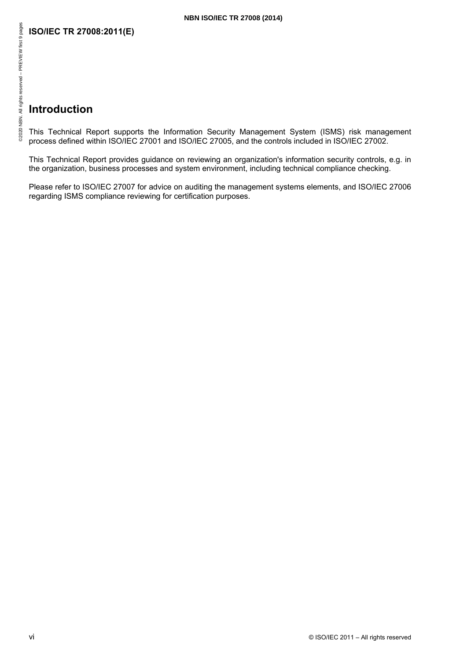### <span id="page-7-0"></span>**Introduction**

This Technical Report supports the Information Security Management System (ISMS) risk management process defined within ISO/IEC 27001 and ISO/IEC 27005, and the controls included in ISO/IEC 27002.

This Technical Report provides guidance on reviewing an organization's information security controls, e.g. in the organization, business processes and system environment, including technical compliance checking.

Please refer to ISO/IEC 27007 for advice on auditing the management systems elements, and ISO/IEC 27006 regarding ISMS compliance reviewing for certification purposes.